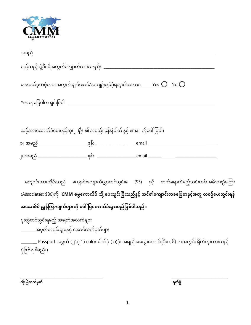

| မည်သည့်ဘွဲ့ဒီဂရီအတွက်လျှောက်ထားသနည်း ___________________                   |                                                                                                                      |  |
|----------------------------------------------------------------------------|----------------------------------------------------------------------------------------------------------------------|--|
|                                                                            | ရာဇဝတ်မှုတစုံတရာအတွက် ချုပ်နောင်/အကျဉ်းချခံခဲ့ရဘူးပါသလား <u>။ Yes <math>\bigcirc</math> No <math>\bigcirc</math></u> |  |
|                                                                            |                                                                                                                      |  |
|                                                                            |                                                                                                                      |  |
| သင့်အားထောက်ခံပေးမည့်သူ(၂ )ဦး ၏ အမည်၊ ဖုန်းနံပါတ် နှင့် email ကိုဖေါ်ပြပါ။ |                                                                                                                      |  |
|                                                                            |                                                                                                                      |  |
|                                                                            |                                                                                                                      |  |

ကျောင်းသားတိုင်းသည် ကျောင်းလျှောက်လွှာတင်သွင်းခ (\$5) နှင့် တက်ရောက်မည့်သင်းတန်းအစီအစဉ်ကြေး (Associates: \$30)ကို **CMM ဓမ္မကောလိပ် သို့ ပေးသွင်းပြီးသည်နှင့် သင်၏ကျောင်းလခပြေစာနှင့်အတူ လစဉ်ပေးသွင်းရန်** အသေးစိပ် ညွှန်ကြားချက်များကို ဖေါ်ပြကောက်ခံသွားမည်ဖြစ်ပါသည်။

<u>ပူးတွဲတင်သွင်းရမည့် အချက်အလက်များ</u> အမ တစ ် ျှောရငား ် မ ျှောား င ် လအျှောင ် ကမ ် တ မ ် ျှောား

\_ Passport အရွယ် (၂″x၂″ ) color ဓါတ်ပုံ ( ၁)ပုံ၊ အရည်အသွေးကောင်းပြီး၊ ( ၆) လအတွင်း ရိုက်ကူးထားသည့် ပ ုံပြေစ်ရပါမည်။)

 $\overline{\phantom{a}}$  , and the contribution of the contribution of the contribution of the contribution of the contribution of the contribution of the contribution of the contribution of the contribution of the contribution of the  **ထ ိုးမ ြဲလက် ှတ် ရက်စ ြဲ**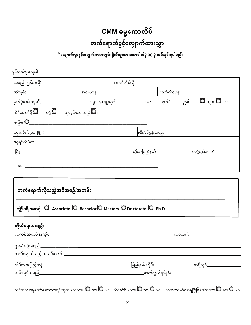## CMM ဓမ္မကောလိပ် တက်ရောက်ခွင့်လျှောက်ထားလွှာ

 $\;\;\tilde{ }\;\;$ လျှောက်လွှာနှင့်အတူ (၆)လအတွင်း ရိုက်ကူးထားသောဓါတ်ပုံ (၁) ပုံ တင်သွင်းရပါမည်။

ရှင်းလင်းစွာရေးပါ

| အမည် (မြန်မာလို)_                                                                                            |                                                 |                                              |               |        |                                          |  |
|--------------------------------------------------------------------------------------------------------------|-------------------------------------------------|----------------------------------------------|---------------|--------|------------------------------------------|--|
| အိမ်ဖုန်း                                                                                                    | အလုပ်ဖုန်း                                      |                                              | လက်ကိုင်ဖုန်း |        |                                          |  |
| မှတ်ပုံတင်အမှတ်_                                                                                             | မွေးနေ့သက္ကရာဇ်။                                | $\infty/$                                    | ရက်/          | ခုနှစ် | $\Box$ $_{\alpha p}$ : $\Box$ $_{\circ}$ |  |
| အိမ်ထောင်ရှိ $\overline{\mathbf{Q}}$ မရှိ $\overline{\mathbf{Q}}$ ။ ကွာရှင်းထားသည် $\overline{\mathbf{Q}}$ ။ |                                                 |                                              |               |        |                                          |  |
| အခြား $\overline{\Omega}$                                                                                    |                                                 |                                              |               |        |                                          |  |
|                                                                                                              | <u> ဇနီး/ခင်ပွန်းအမည် _____________________</u> |                                              |               |        |                                          |  |
| နေရပ်လိပ်စာ                                                                                                  |                                                 |                                              |               |        |                                          |  |
|                                                                                                              |                                                 | တိုင်း/ပြည်နယ် ________________              |               |        | _ စာပို့ကုဒ်နံပါတ် _________             |  |
|                                                                                                              |                                                 |                                              |               |        |                                          |  |
|                                                                                                              |                                                 |                                              |               |        |                                          |  |
|                                                                                                              |                                                 |                                              |               |        |                                          |  |
| ဘွဲ့ဒီဂရီ အဆင့် ပြ Associate ပြ Bachelor ပြ Masters ပြ Doctorate ပြ Ph.D                                     |                                                 |                                              |               |        |                                          |  |
| <u>ကိုယ်ရေးအကျဉ်း</u>                                                                                        |                                                 |                                              |               |        |                                          |  |
|                                                                                                              |                                                 |                                              |               |        | လုပ်သက <u>် __________</u> _             |  |
|                                                                                                              |                                                 |                                              |               |        |                                          |  |
|                                                                                                              |                                                 |                                              |               |        |                                          |  |
|                                                                                                              |                                                 |                                              |               |        |                                          |  |
|                                                                                                              |                                                 | _________ဆက်သွယ်ရန်ဖုန်း ___________________ |               |        |                                          |  |
|                                                                                                              |                                                 |                                              |               |        |                                          |  |

သင်သည်အမှုတော်ဆောင်တစ်ဦးဟုတ်ပါသလား  $\Box$  Yes  $\Box$  No. လိုင်စင်ရှိပါလား $\Box$  Yes  $\Box$  No. လက်တင်မင်္ဂလာရပြီးဖြစ်ပါသလား  $\Box$  Yes  $\Box$  No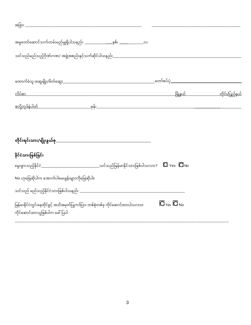| နိုင်ငံသားဖြစ်ခြင်း                                                                                                    |                                                                                |  |
|------------------------------------------------------------------------------------------------------------------------|--------------------------------------------------------------------------------|--|
| မွေးဖွားသည့်နိုင်င <u>ံ —————————————</u> သင်သည်မြန်မာနိုင်သားဖြစ်ပါသလား? <b>ပြု</b> Yes <b>ပြု</b> No                 |                                                                                |  |
| No ဟုဖြေဆိုပါက အောက်ပါမေးခွန်းများကိုဖြေဆိုပါ။                                                                         |                                                                                |  |
|                                                                                                                        |                                                                                |  |
| မြန်မာနိုင်ငံတွင်းနေထိုင်ခွင့် အသိအမှတ်ပြုကဒ်ပြား တစ်စုံတစ်ခု ကိုင်ဆောင်ထားပါသလား။<br>ကိုင်ဆောင်ထားသူဖြစ်ပါက ဖေါ်ပြပါ. | $\overline{\mathbf{O}}$ $_{\text{Yes}}$ $\overline{\mathbf{O}}$ $_{\text{No}}$ |  |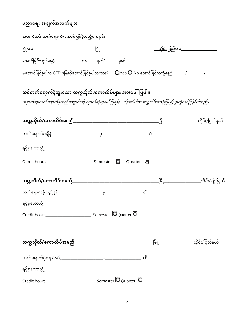| ပညာရေး အချက်အလက်များ                                                                                           |                      |                                        |
|----------------------------------------------------------------------------------------------------------------|----------------------|----------------------------------------|
|                                                                                                                |                      |                                        |
|                                                                                                                |                      |                                        |
|                                                                                                                |                      |                                        |
|                                                                                                                |                      |                                        |
| သင်တက်ရောက်ခဲ့ဘူးသော တက္ကသိုလ် ⁄ကောလိပ်များ အားဖေါ်ပြပါ။                                                       |                      |                                        |
| (နောက်ဆုံးတက်ရောက်ခဲ့သည့်ကျောင်းကို နောက်ဆုံးမှဖေါ်ပြရန်) လိုအပ်ပါက စာရွက်ပိုအသုံးပြု ၍ ပူးတွဲတင်ပြနိုင်ပါသည်။ |                      |                                        |
|                                                                                                                |                      |                                        |
| တက်ရောက်ခဲ့ချိန <u>် — — — မှ — — — ထိ</u>                                                                     |                      |                                        |
|                                                                                                                |                      |                                        |
|                                                                                                                | Quarter <sub>0</sub> |                                        |
|                                                                                                                |                      | <u>မြို့ ထားထားထား တို</u> င်း/ပြည်နယ် |
|                                                                                                                |                      |                                        |
|                                                                                                                |                      |                                        |
|                                                                                                                |                      |                                        |
|                                                                                                                |                      |                                        |
|                                                                                                                |                      |                                        |
|                                                                                                                |                      |                                        |
|                                                                                                                |                      |                                        |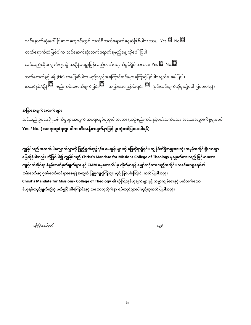သင်နောက်ဆုံးဖေါ်ပြသောကျောင်းတွင် လက်ရှိတက်ရောက်နေဆဲဖြစ်ပါသလား.  $\gamma$ es  $\overline{\Box{\,}}$  No. $\overline{\Box{\,}}$ တက်ရောက်ဆဲဖြစ်ပါက သင်နောက်ဆုံးတက်ရောက်ရမည့်နေ့ ကိုဖေါ်ပြပါ\_ သင်သည်ထိုကျောင်းများ၌ အချိန်မရွေးပြန်လည်တက်ရောက်ခွင့်ရှိပါသလား။ Yes  $\overline{\bf \Omega}$  No. $\overline{\bf \Omega}$ တက်ရောက်ခွင့် မရှိ (No) ဟုဖြေဆိုပါက မည်သည့်အကြောင်းရင်းများကြောင့်ဖြစ်ပါသနည်း။ ဖေါပြပါ။ စာသင်နှစ်/ချိန်  $\Box$  စည်းကမ်းဖောက်ဖျက်ခြင်း $\Box$  အခြားအကြောင်းရင်း  $\Box$  (ရှင်းလင်းချက်ကိုပူးတွဲဖေါ်ပြပေးပါရန်)

## အခြားအချက်အလက်များ

သင်သည် ဥပဒေချိုးဖေါက်မှုများအတွက် အရေးယူခံရဘူးပါသလား (ယဉ်စည်းကမ်းနှင့်ပတ်သက်သော အသေးအမွှားကိစ္စများမပါ) **Yes / No. ( အကရေးယူခံရဘူေး ပါ သေး သန်စို့ ောမ္ ်နောှ ငို့်ပူေးတွ တင် ပကပေးပါရန်)**

ကျွန်ုပ်သည် အထက်ပါလျှောက်လွှာကို ဖြည့်စွက်ရာ၌၎င်း၊ မေးခွန်းများကို ဖြေဆိုရာ၌၎င်း၊ ကျွန်ုပ်သိရှိသမျှအားလုံး အမှန်အတိုင်းရိုးသားစွာ **က ဆခ ိပ ို့ ါသည။် သ ိ ို့ စပ် ါ၍ ကျွန် ပ်သည်Christ's Mandate for Missions College of Theology မ္ှခ မ္ှတ်ထောေးသညို့် မ္ငမ္ို့် ောေးကသော ငဝို့် တဆ် င ိရ် ော စံနှုန်ေးသတ်မ္ှတ်ခ ်မ္ ောေး နငှ ို့်CMM ဓမ္မက ောလိပ်မ္ှလိ ်နောရန်ကမ္ ော်လငထို့် ောေးသညို့အ် တငိ ေး်၊ သခင်ကယရှုခရစ်၏** ဘုန်းတော်နှင့် ဂုဏ်တော်ထင်ရှားစေရန်အတွက် ပြုမူကျင့်ကြံသွားမည် ဖြစ်ပါကြောင်း ကတိပြုပါသည်။ **Christ's Mandate for Missions- College of Theology ၏ ယံ က ည်ခယံ ခူ မ္် ောေးနငှ ို့်သမ္မော မ္်ေးစောနငှ ို့်ပတ်သ ်ကသော** ခံယူရပ်တည်ချက်တို့ကို ဖတ်ရှုပြီးပါကြောင်းနှင့် သဘောတူလိုက်နာ ရပ်တည်သွားပါမည်ဟုကတိပြုပါသည်။

ထ ုံားပမ က်မ တ်လနစ ွ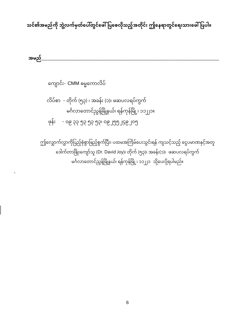## သင်၏အမည်ကို ဘွဲ့လက်မှတ်ပေါ်တွင်ဖေါ် ပြစေလိုသည့်အတိုင်း ဤနေရာတွင်ရေးသားဖေါ် ပြပါ။

အမည်

ကျောင်း- CMM ဓမ္မကောလိပ်

-

လိပ်စာ - တိုက် (၅၃) ၊ အခန်း (၁)၊ ဖဆပလရပ်ကွက် မင်္ဂလာတောင်ညွနဲ့မြို့နယ်၊ ရန်ကုန်မြို့၊ ၁၁၂၂၁။ ြေုံန်ား - ၀၉ ၃၃ ၅၃ ၅၃ ၅၃၊ ၀၉ ၂၅၅ ၂၄၉ ၂၀၅

ဤလျှောက်လွှာကိုပြည့်စုံစွာဖြည့်စွက်ပြီး၊ ပထမအကြိမ်ပေးသွင်းရန် ကျသင့်သည့် ငွေပမာဏနှင့်အတူ ဒေါက်တာဖြိုးကျော်သူ (Dr. David Joy)၊ တိုက် (၅၃)၊ အခန်း(၁)၊ ဖဆပလရပ်ကွက် မင်္ဂလာတောင်ညွန့်မြို့နယ်၊ ရန်ကုန်မြို့၊ ၁၁၂၂၁ သို့ပေးပို့ရပါမည်။  $\overline{\phantom{a}}$